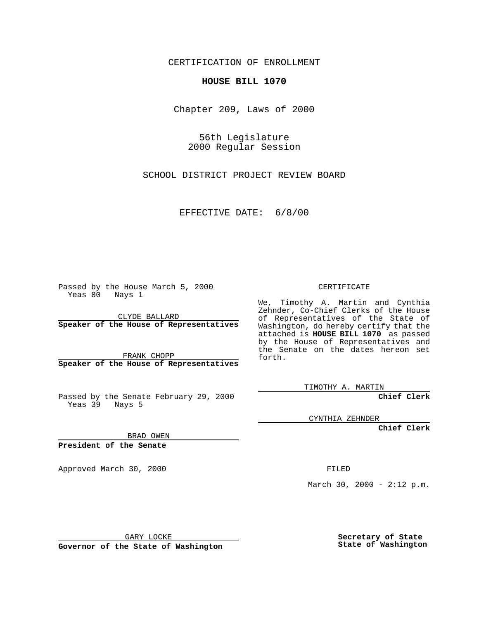CERTIFICATION OF ENROLLMENT

## **HOUSE BILL 1070**

Chapter 209, Laws of 2000

56th Legislature 2000 Regular Session

SCHOOL DISTRICT PROJECT REVIEW BOARD

EFFECTIVE DATE: 6/8/00

Passed by the House March 5, 2000 Yeas 80 Nays 1

CLYDE BALLARD **Speaker of the House of Representatives**

FRANK CHOPP **Speaker of the House of Representatives**

Passed by the Senate February 29, 2000 Yeas 39 Nays 5

CYNTHIA ZEHNDER

**Chief Clerk**

**Chief Clerk**

BRAD OWEN

**President of the Senate**

Approved March 30, 2000 FILED

March 30, 2000 - 2:12 p.m.

GARY LOCKE

**Governor of the State of Washington**

**Secretary of State State of Washington**

## CERTIFICATE

We, Timothy A. Martin and Cynthia Zehnder, Co-Chief Clerks of the House of Representatives of the State of Washington, do hereby certify that the attached is **HOUSE BILL 1070** as passed by the House of Representatives and the Senate on the dates hereon set forth.

TIMOTHY A. MARTIN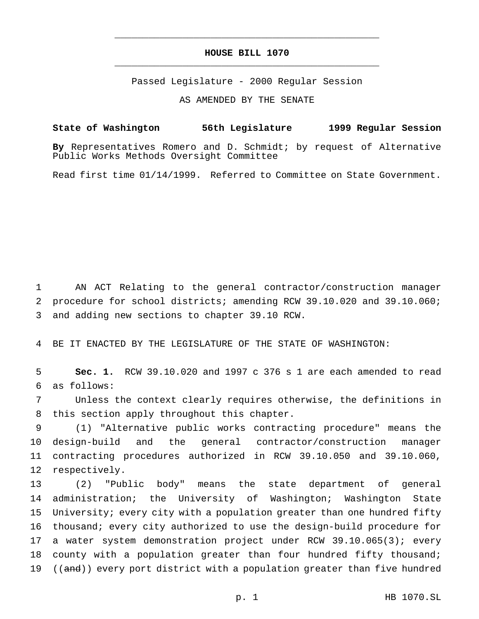## **HOUSE BILL 1070** \_\_\_\_\_\_\_\_\_\_\_\_\_\_\_\_\_\_\_\_\_\_\_\_\_\_\_\_\_\_\_\_\_\_\_\_\_\_\_\_\_\_\_\_\_\_\_

\_\_\_\_\_\_\_\_\_\_\_\_\_\_\_\_\_\_\_\_\_\_\_\_\_\_\_\_\_\_\_\_\_\_\_\_\_\_\_\_\_\_\_\_\_\_\_

Passed Legislature - 2000 Regular Session

AS AMENDED BY THE SENATE

## **State of Washington 56th Legislature 1999 Regular Session**

**By** Representatives Romero and D. Schmidt; by request of Alternative Public Works Methods Oversight Committee

Read first time 01/14/1999. Referred to Committee on State Government.

1 AN ACT Relating to the general contractor/construction manager 2 procedure for school districts; amending RCW 39.10.020 and 39.10.060; 3 and adding new sections to chapter 39.10 RCW.

4 BE IT ENACTED BY THE LEGISLATURE OF THE STATE OF WASHINGTON:

5 **Sec. 1.** RCW 39.10.020 and 1997 c 376 s 1 are each amended to read 6 as follows:

7 Unless the context clearly requires otherwise, the definitions in 8 this section apply throughout this chapter.

 (1) "Alternative public works contracting procedure" means the design-build and the general contractor/construction manager contracting procedures authorized in RCW 39.10.050 and 39.10.060, respectively.

 (2) "Public body" means the state department of general administration; the University of Washington; Washington State University; every city with a population greater than one hundred fifty thousand; every city authorized to use the design-build procedure for a water system demonstration project under RCW 39.10.065(3); every 18 county with a population greater than four hundred fifty thousand; 19 ((and)) every port district with a population greater than five hundred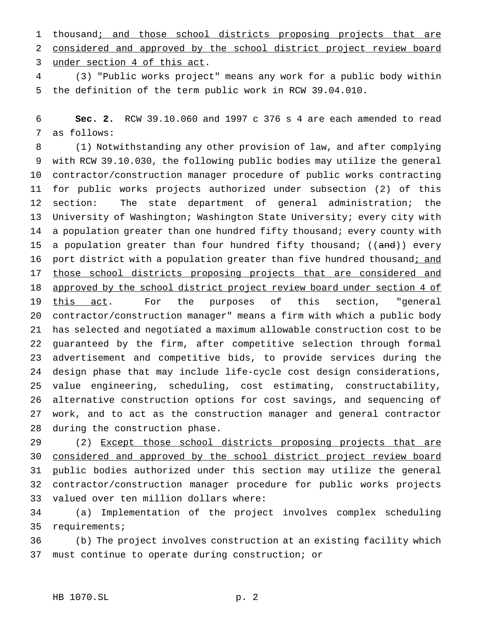1 thousand; and those school districts proposing projects that are considered and approved by the school district project review board under section 4 of this act.

 (3) "Public works project" means any work for a public body within the definition of the term public work in RCW 39.04.010.

 **Sec. 2.** RCW 39.10.060 and 1997 c 376 s 4 are each amended to read as follows:

 (1) Notwithstanding any other provision of law, and after complying with RCW 39.10.030, the following public bodies may utilize the general contractor/construction manager procedure of public works contracting for public works projects authorized under subsection (2) of this section: The state department of general administration; the University of Washington; Washington State University; every city with a population greater than one hundred fifty thousand; every county with 15 a population greater than four hundred fifty thousand; ((and)) every 16 port district with a population greater than five hundred thousand; and 17 those school districts proposing projects that are considered and 18 approved by the school district project review board under section 4 of this act. For the purposes of this section, "general contractor/construction manager" means a firm with which a public body has selected and negotiated a maximum allowable construction cost to be guaranteed by the firm, after competitive selection through formal advertisement and competitive bids, to provide services during the design phase that may include life-cycle cost design considerations, value engineering, scheduling, cost estimating, constructability, alternative construction options for cost savings, and sequencing of work, and to act as the construction manager and general contractor during the construction phase.

29 (2) Except those school districts proposing projects that are considered and approved by the school district project review board public bodies authorized under this section may utilize the general contractor/construction manager procedure for public works projects valued over ten million dollars where:

 (a) Implementation of the project involves complex scheduling requirements;

 (b) The project involves construction at an existing facility which must continue to operate during construction; or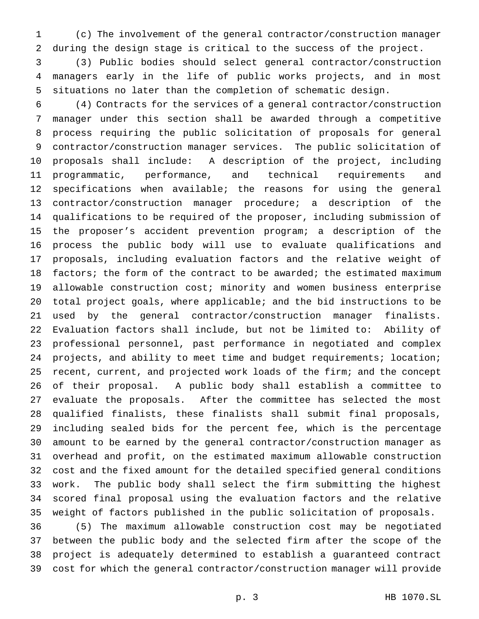(c) The involvement of the general contractor/construction manager during the design stage is critical to the success of the project.

 (3) Public bodies should select general contractor/construction managers early in the life of public works projects, and in most situations no later than the completion of schematic design.

 (4) Contracts for the services of a general contractor/construction manager under this section shall be awarded through a competitive process requiring the public solicitation of proposals for general contractor/construction manager services. The public solicitation of proposals shall include: A description of the project, including programmatic, performance, and technical requirements and specifications when available; the reasons for using the general contractor/construction manager procedure; a description of the qualifications to be required of the proposer, including submission of the proposer's accident prevention program; a description of the process the public body will use to evaluate qualifications and proposals, including evaluation factors and the relative weight of 18 factors; the form of the contract to be awarded; the estimated maximum allowable construction cost; minority and women business enterprise total project goals, where applicable; and the bid instructions to be used by the general contractor/construction manager finalists. Evaluation factors shall include, but not be limited to: Ability of professional personnel, past performance in negotiated and complex projects, and ability to meet time and budget requirements; location; recent, current, and projected work loads of the firm; and the concept of their proposal. A public body shall establish a committee to evaluate the proposals. After the committee has selected the most qualified finalists, these finalists shall submit final proposals, including sealed bids for the percent fee, which is the percentage amount to be earned by the general contractor/construction manager as overhead and profit, on the estimated maximum allowable construction cost and the fixed amount for the detailed specified general conditions work. The public body shall select the firm submitting the highest scored final proposal using the evaluation factors and the relative weight of factors published in the public solicitation of proposals. (5) The maximum allowable construction cost may be negotiated

 between the public body and the selected firm after the scope of the project is adequately determined to establish a guaranteed contract cost for which the general contractor/construction manager will provide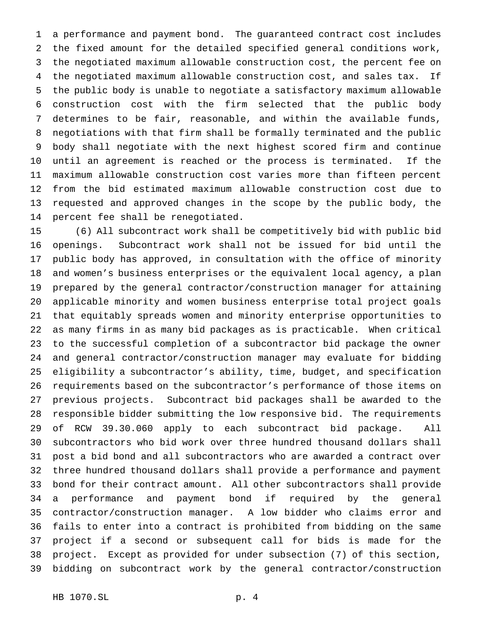a performance and payment bond. The guaranteed contract cost includes the fixed amount for the detailed specified general conditions work, the negotiated maximum allowable construction cost, the percent fee on the negotiated maximum allowable construction cost, and sales tax. If the public body is unable to negotiate a satisfactory maximum allowable construction cost with the firm selected that the public body determines to be fair, reasonable, and within the available funds, negotiations with that firm shall be formally terminated and the public body shall negotiate with the next highest scored firm and continue until an agreement is reached or the process is terminated. If the maximum allowable construction cost varies more than fifteen percent from the bid estimated maximum allowable construction cost due to requested and approved changes in the scope by the public body, the percent fee shall be renegotiated.

 (6) All subcontract work shall be competitively bid with public bid openings. Subcontract work shall not be issued for bid until the public body has approved, in consultation with the office of minority and women's business enterprises or the equivalent local agency, a plan prepared by the general contractor/construction manager for attaining applicable minority and women business enterprise total project goals that equitably spreads women and minority enterprise opportunities to as many firms in as many bid packages as is practicable. When critical to the successful completion of a subcontractor bid package the owner and general contractor/construction manager may evaluate for bidding eligibility a subcontractor's ability, time, budget, and specification requirements based on the subcontractor's performance of those items on previous projects. Subcontract bid packages shall be awarded to the responsible bidder submitting the low responsive bid. The requirements of RCW 39.30.060 apply to each subcontract bid package. All subcontractors who bid work over three hundred thousand dollars shall post a bid bond and all subcontractors who are awarded a contract over three hundred thousand dollars shall provide a performance and payment bond for their contract amount. All other subcontractors shall provide a performance and payment bond if required by the general contractor/construction manager. A low bidder who claims error and fails to enter into a contract is prohibited from bidding on the same project if a second or subsequent call for bids is made for the project. Except as provided for under subsection (7) of this section, bidding on subcontract work by the general contractor/construction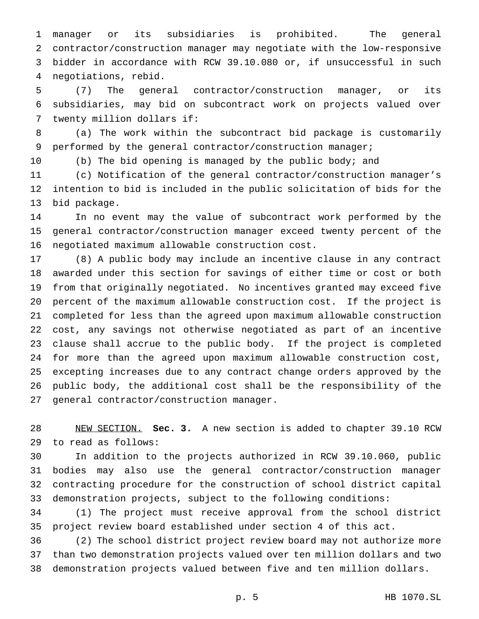manager or its subsidiaries is prohibited. The general contractor/construction manager may negotiate with the low-responsive bidder in accordance with RCW 39.10.080 or, if unsuccessful in such negotiations, rebid.

 (7) The general contractor/construction manager, or its subsidiaries, may bid on subcontract work on projects valued over twenty million dollars if:

 (a) The work within the subcontract bid package is customarily performed by the general contractor/construction manager;

(b) The bid opening is managed by the public body; and

 (c) Notification of the general contractor/construction manager's intention to bid is included in the public solicitation of bids for the bid package.

 In no event may the value of subcontract work performed by the general contractor/construction manager exceed twenty percent of the negotiated maximum allowable construction cost.

 (8) A public body may include an incentive clause in any contract awarded under this section for savings of either time or cost or both from that originally negotiated. No incentives granted may exceed five percent of the maximum allowable construction cost. If the project is completed for less than the agreed upon maximum allowable construction cost, any savings not otherwise negotiated as part of an incentive clause shall accrue to the public body. If the project is completed for more than the agreed upon maximum allowable construction cost, excepting increases due to any contract change orders approved by the public body, the additional cost shall be the responsibility of the general contractor/construction manager.

 NEW SECTION. **Sec. 3.** A new section is added to chapter 39.10 RCW to read as follows:

 In addition to the projects authorized in RCW 39.10.060, public bodies may also use the general contractor/construction manager contracting procedure for the construction of school district capital demonstration projects, subject to the following conditions:

 (1) The project must receive approval from the school district project review board established under section 4 of this act.

 (2) The school district project review board may not authorize more than two demonstration projects valued over ten million dollars and two demonstration projects valued between five and ten million dollars.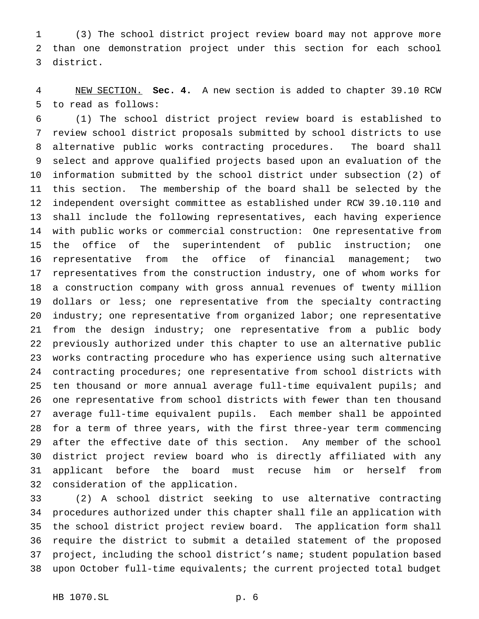(3) The school district project review board may not approve more than one demonstration project under this section for each school district.

 NEW SECTION. **Sec. 4.** A new section is added to chapter 39.10 RCW to read as follows:

 (1) The school district project review board is established to review school district proposals submitted by school districts to use alternative public works contracting procedures. The board shall select and approve qualified projects based upon an evaluation of the information submitted by the school district under subsection (2) of this section. The membership of the board shall be selected by the independent oversight committee as established under RCW 39.10.110 and shall include the following representatives, each having experience with public works or commercial construction: One representative from the office of the superintendent of public instruction; one representative from the office of financial management; two representatives from the construction industry, one of whom works for a construction company with gross annual revenues of twenty million dollars or less; one representative from the specialty contracting industry; one representative from organized labor; one representative from the design industry; one representative from a public body previously authorized under this chapter to use an alternative public works contracting procedure who has experience using such alternative contracting procedures; one representative from school districts with ten thousand or more annual average full-time equivalent pupils; and one representative from school districts with fewer than ten thousand average full-time equivalent pupils. Each member shall be appointed for a term of three years, with the first three-year term commencing after the effective date of this section. Any member of the school district project review board who is directly affiliated with any applicant before the board must recuse him or herself from consideration of the application.

 (2) A school district seeking to use alternative contracting procedures authorized under this chapter shall file an application with the school district project review board. The application form shall require the district to submit a detailed statement of the proposed project, including the school district's name; student population based upon October full-time equivalents; the current projected total budget